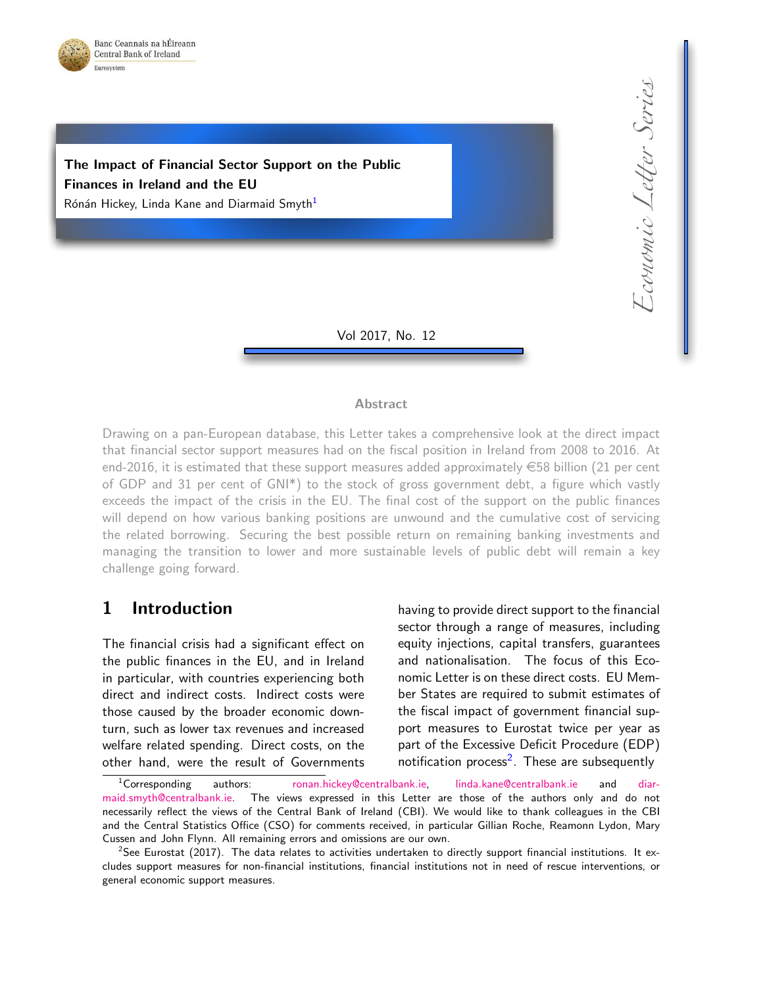

Economic Letter Series Economic Letter Series

# The Impact of Financial Sector Support on the Public Finances in Ireland and the EU

Rónán Hickey, Linda Kane and Diarmaid Smyth<sup>1</sup>

Vol 2017, No. 12

#### **Abstract**

Drawing on a pan-European database, this Letter takes a comprehensive look at the direct impact that financial sector support measures had on the fiscal position in Ireland from 2008 to 2016. At end-2016, it is estimated that these support measures added approximately  $\in$  58 billion (21 per cent of GDP and 31 per cent of GNI\*) to the stock of gross government debt, a figure which vastly exceeds the impact of the crisis in the EU. The final cost of the support on the public finances will depend on how various banking positions are unwound and the cumulative cost of servicing the related borrowing. Securing the best possible return on remaining banking investments and managing the transition to lower and more sustainable levels of public debt will remain a key challenge going forward.

### 1 Introduction

The financial crisis had a significant effect on the public finances in the EU, and in Ireland in particular, with countries experiencing both direct and indirect costs. Indirect costs were those caused by the broader economic downturn, such as lower tax revenues and increased welfare related spending. Direct costs, on the other hand, were the result of Governments having to provide direct support to the financial sector through a range of measures, including equity injections, capital transfers, guarantees and nationalisation. The focus of this Economic Letter is on these direct costs. EU Member States are required to submit estimates of the fiscal impact of government financial support measures to Eurostat twice per year as part of the Excessive Deficit Procedure (EDP) notification process<sup>2</sup>. These are subsequently

<sup>&</sup>lt;sup>1</sup>Corresponding authors: [ronan.hickey@centralbank.ie,](mailto:ronan.hickey@centralbank.ie) [linda.kane@centralbank.ie](mailto:linda.kane@centralbank.ie) and [diar](mailto:diarmaid.smyth@centralbank.ie)[maid.smyth@centralbank.ie.](mailto:diarmaid.smyth@centralbank.ie) The views expressed in this Letter are those of the authors only and do not necessarily reflect the views of the Central Bank of Ireland (CBI). We would like to thank colleagues in the CBI and the Central Statistics Office (CSO) for comments received, in particular Gillian Roche, Reamonn Lydon, Mary Cussen and John Flynn. All remaining errors and omissions are our own.

 $2$ See Eurostat (2017). The data relates to activities undertaken to directly support financial institutions. It excludes support measures for non-financial institutions, financial institutions not in need of rescue interventions, or general economic support measures.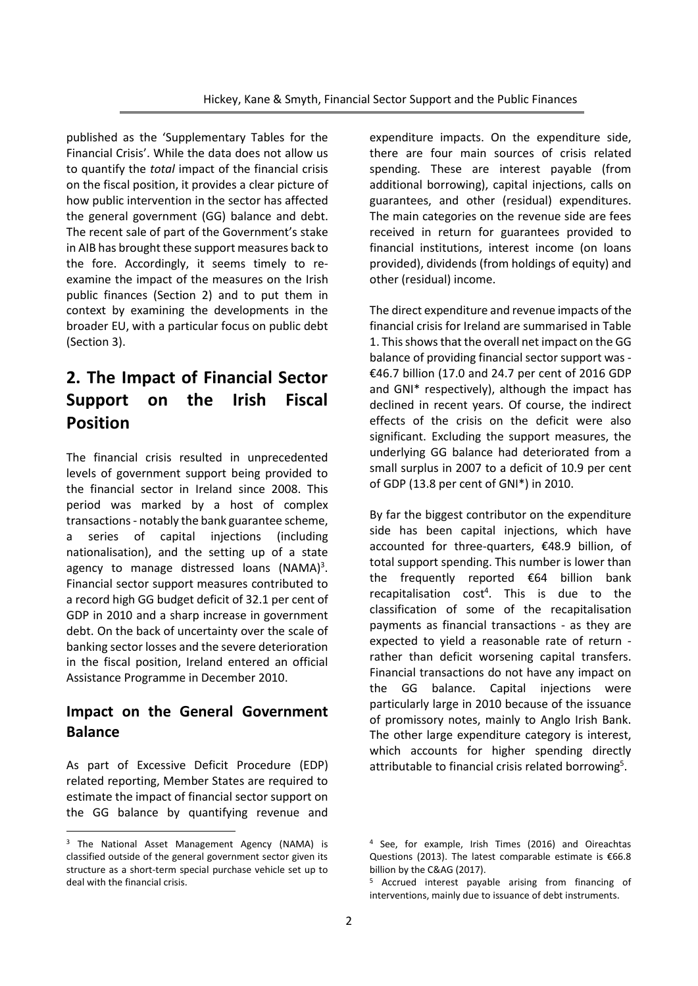published as the 'Supplementary Tables for the Financial Crisis'. While the data does not allow us to quantify the *total* impact of the financial crisis on the fiscal position, it provides a clear picture of how public intervention in the sector has affected the general government (GG) balance and debt. The recent sale of part of the Government's stake in AIB has brought these support measures back to the fore. Accordingly, it seems timely to reexamine the impact of the measures on the Irish public finances (Section 2) and to put them in context by examining the developments in the broader EU, with a particular focus on public debt (Section 3).

# **2. The Impact of Financial Sector Support on the Irish Fiscal Position**

The financial crisis resulted in unprecedented levels of government support being provided to the financial sector in Ireland since 2008. This period was marked by a host of complex transactions - notably the bank guarantee scheme, a series of capital injections (including nationalisation), and the setting up of a state agency to manage distressed loans (NAMA)<sup>3</sup>. Financial sector support measures contributed to a record high GG budget deficit of 32.1 per cent of GDP in 2010 and a sharp increase in government debt. On the back of uncertainty over the scale of banking sector losses and the severe deterioration in the fiscal position, Ireland entered an official Assistance Programme in December 2010.

### **Impact on the General Government Balance**

As part of Excessive Deficit Procedure (EDP) related reporting, Member States are required to estimate the impact of financial sector support on the GG balance by quantifying revenue and

**.** 

expenditure impacts. On the expenditure side, there are four main sources of crisis related spending. These are interest payable (from additional borrowing), capital injections, calls on guarantees, and other (residual) expenditures. The main categories on the revenue side are fees received in return for guarantees provided to financial institutions, interest income (on loans provided), dividends (from holdings of equity) and other (residual) income.

The direct expenditure and revenue impacts of the financial crisis for Ireland are summarised in Table 1. Thisshows that the overall net impact on the GG balance of providing financial sector support was - €46.7 billion (17.0 and 24.7 per cent of 2016 GDP and GNI\* respectively), although the impact has declined in recent years. Of course, the indirect effects of the crisis on the deficit were also significant. Excluding the support measures, the underlying GG balance had deteriorated from a small surplus in 2007 to a deficit of 10.9 per cent of GDP (13.8 per cent of GNI\*) in 2010.

By far the biggest contributor on the expenditure side has been capital injections, which have accounted for three-quarters, €48.9 billion, of total support spending. This number is lower than the frequently reported €64 billion bank  $recapitalisation cost<sup>4</sup>. This is due to the$ classification of some of the recapitalisation payments as financial transactions - as they are expected to yield a reasonable rate of return rather than deficit worsening capital transfers. Financial transactions do not have any impact on the GG balance. Capital injections were particularly large in 2010 because of the issuance of promissory notes, mainly to Anglo Irish Bank. The other large expenditure category is interest, which accounts for higher spending directly attributable to financial crisis related borrowing<sup>5</sup>.

<sup>&</sup>lt;sup>3</sup> The National Asset Management Agency (NAMA) is classified outside of the general government sector given its structure as a short-term special purchase vehicle set up to deal with the financial crisis.

<sup>4</sup> See, for example, Irish Times (2016) and Oireachtas Questions (2013). The latest comparable estimate is €66.8 billion by the C&AG (2017).

<sup>5</sup> Accrued interest payable arising from financing of interventions, mainly due to issuance of debt instruments.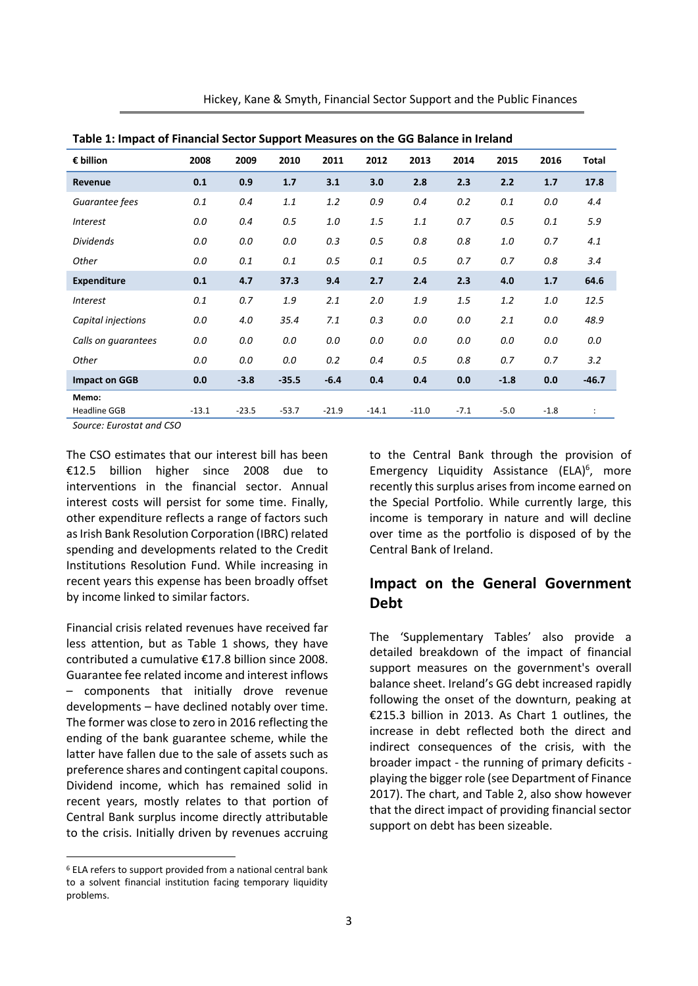| Table 1: Impact of Financial Sector Support Measures on the GG Balance in Ireland                                                                                                                                                                                                                             |         |         |         |         |         |         |        |        |        |                      |
|---------------------------------------------------------------------------------------------------------------------------------------------------------------------------------------------------------------------------------------------------------------------------------------------------------------|---------|---------|---------|---------|---------|---------|--------|--------|--------|----------------------|
| $\epsilon$ billion                                                                                                                                                                                                                                                                                            | 2008    | 2009    | 2010    | 2011    | 2012    | 2013    | 2014   | 2015   | 2016   | Total                |
| Revenue                                                                                                                                                                                                                                                                                                       | 0.1     | 0.9     | 1.7     | 3.1     | 3.0     | 2.8     | 2.3    | 2.2    | 1.7    | 17.8                 |
| Guarantee fees                                                                                                                                                                                                                                                                                                | 0.1     | 0.4     | 1.1     | 1.2     | 0.9     | 0.4     | 0.2    | 0.1    | 0.0    | 4.4                  |
| <b>Interest</b>                                                                                                                                                                                                                                                                                               | 0.0     | 0.4     | 0.5     | 1.0     | 1.5     | 1.1     | 0.7    | 0.5    | 0.1    | 5.9                  |
| <b>Dividends</b>                                                                                                                                                                                                                                                                                              | 0.0     | 0.0     | 0.0     | 0.3     | 0.5     | 0.8     | 0.8    | 1.0    | 0.7    | 4.1                  |
| Other                                                                                                                                                                                                                                                                                                         | 0.0     | 0.1     | 0.1     | 0.5     | 0.1     | 0.5     | 0.7    | 0.7    | 0.8    | 3.4                  |
| <b>Expenditure</b>                                                                                                                                                                                                                                                                                            | 0.1     | 4.7     | 37.3    | 9.4     | 2.7     | 2.4     | 2.3    | 4.0    | 1.7    | 64.6                 |
| <i>Interest</i>                                                                                                                                                                                                                                                                                               | 0.1     | 0.7     | 1.9     | 2.1     | 2.0     | 1.9     | 1.5    | 1.2    | 1.0    | 12.5                 |
| Capital injections                                                                                                                                                                                                                                                                                            | 0.0     | 4.0     | 35.4    | 7.1     | 0.3     | 0.0     | 0.0    | 2.1    | 0.0    | 48.9                 |
| Calls on guarantees                                                                                                                                                                                                                                                                                           | 0.0     | 0.0     | 0.0     | 0.0     | 0.0     | 0.0     | 0.0    | 0.0    | 0.0    | 0.0                  |
| Other                                                                                                                                                                                                                                                                                                         | 0.0     | 0.0     | 0.0     | 0.2     | 0.4     | 0.5     | 0.8    | 0.7    | 0.7    | 3.2                  |
| <b>Impact on GGB</b>                                                                                                                                                                                                                                                                                          | 0.0     | $-3.8$  | $-35.5$ | $-6.4$  | 0.4     | 0.4     | 0.0    | $-1.8$ | 0.0    | $-46.7$              |
| Memo:                                                                                                                                                                                                                                                                                                         |         |         |         |         |         |         |        |        |        |                      |
| <b>Headline GGB</b>                                                                                                                                                                                                                                                                                           | $-13.1$ | $-23.5$ | $-53.7$ | $-21.9$ | $-14.1$ | $-11.0$ | $-7.1$ | $-5.0$ | $-1.8$ | $\ddot{\phantom{a}}$ |
| $C_{\text{c}}$ and $C_{\text{c}}$ and $C_{\text{c}}$ and $C_{\text{c}}$ and $C_{\text{c}}$ and $C_{\text{c}}$ and $C_{\text{c}}$ and $C_{\text{c}}$ and $C_{\text{c}}$ and $C_{\text{c}}$ and $C_{\text{c}}$ and $C_{\text{c}}$ and $C_{\text{c}}$ and $C_{\text{c}}$ and $C_{\text{c}}$ and $C_{\text{c}}$ a |         |         |         |         |         |         |        |        |        |                      |

Hickey, Kane & Smyth, Financial Sector Support and the Public Finances

| Table 1: Impact of Financial Sector Support Measures on the GG Balance in Ireland |  |
|-----------------------------------------------------------------------------------|--|
|-----------------------------------------------------------------------------------|--|

*Source: Eurostat and CSO*

The CSO estimates that our interest bill has been €12.5 billion higher since 2008 due to interventions in the financial sector. Annual interest costs will persist for some time. Finally, other expenditure reflects a range of factors such as Irish Bank Resolution Corporation (IBRC) related spending and developments related to the Credit Institutions Resolution Fund. While increasing in recent years this expense has been broadly offset by income linked to similar factors.

Financial crisis related revenues have received far less attention, but as Table 1 shows, they have contributed a cumulative €17.8 billion since 2008. Guarantee fee related income and interest inflows – components that initially drove revenue developments – have declined notably over time. The former was close to zero in 2016 reflecting the ending of the bank guarantee scheme, while the latter have fallen due to the sale of assets such as preference shares and contingent capital coupons. Dividend income, which has remained solid in recent years, mostly relates to that portion of Central Bank surplus income directly attributable to the crisis. Initially driven by revenues accruing

**.** 

to the Central Bank through the provision of Emergency Liquidity Assistance (ELA)<sup>6</sup>, more recently this surplus arises from income earned on the Special Portfolio. While currently large, this income is temporary in nature and will decline over time as the portfolio is disposed of by the Central Bank of Ireland.

## **Impact on the General Government Debt**

The 'Supplementary Tables' also provide a detailed breakdown of the impact of financial support measures on the government's overall balance sheet. Ireland's GG debt increased rapidly following the onset of the downturn, peaking at €215.3 billion in 2013. As Chart 1 outlines, the increase in debt reflected both the direct and indirect consequences of the crisis, with the broader impact - the running of primary deficits playing the bigger role (see Department of Finance 2017). The chart, and Table 2, also show however that the direct impact of providing financial sector support on debt has been sizeable.

<sup>6</sup> ELA refers to support provided from a national central bank to a solvent financial institution facing temporary liquidity problems.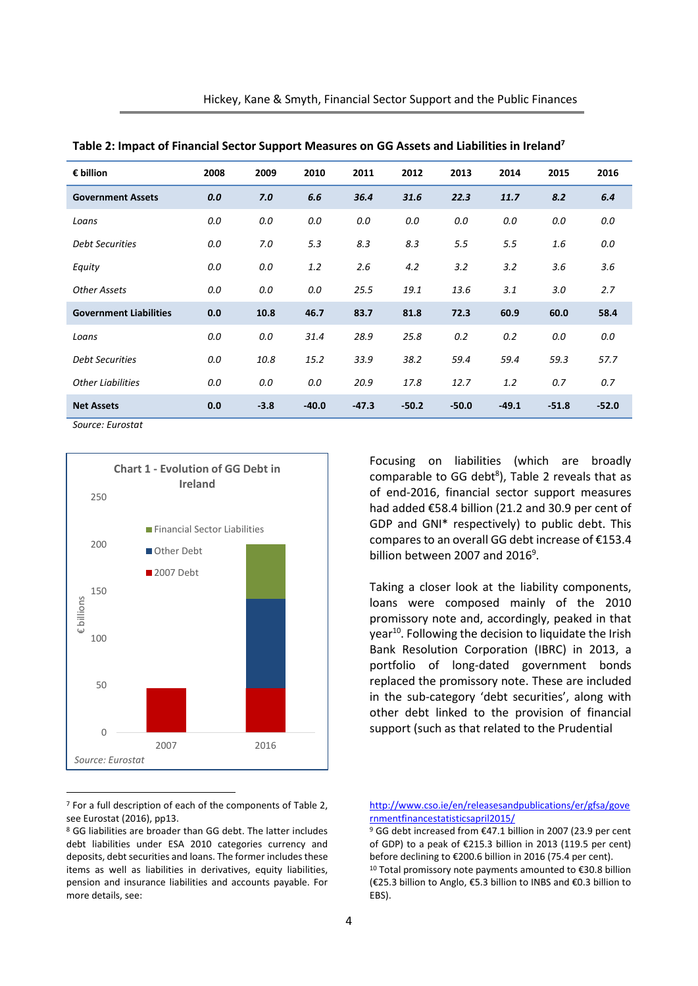| € billion                     | 2008 | 2009   | 2010    | 2011    | 2012    | 2013    | 2014    | 2015    | 2016    |
|-------------------------------|------|--------|---------|---------|---------|---------|---------|---------|---------|
| <b>Government Assets</b>      | 0.0  | 7.0    | 6.6     | 36.4    | 31.6    | 22.3    | 11.7    | 8.2     | 6.4     |
| Loans                         | 0.0  | 0.0    | 0.0     | 0.0     | 0.0     | 0.0     | 0.0     | 0.0     | 0.0     |
| <b>Debt Securities</b>        | 0.0  | 7.0    | 5.3     | 8.3     | 8.3     | 5.5     | 5.5     | 1.6     | 0.0     |
| Equity                        | 0.0  | 0.0    | 1.2     | 2.6     | 4.2     | 3.2     | 3.2     | 3.6     | 3.6     |
| <b>Other Assets</b>           | 0.0  | 0.0    | 0.0     | 25.5    | 19.1    | 13.6    | 3.1     | 3.0     | 2.7     |
| <b>Government Liabilities</b> | 0.0  | 10.8   | 46.7    | 83.7    | 81.8    | 72.3    | 60.9    | 60.0    | 58.4    |
| Loans                         | 0.0  | 0.0    | 31.4    | 28.9    | 25.8    | 0.2     | 0.2     | 0.0     | 0.0     |
| <b>Debt Securities</b>        | 0.0  | 10.8   | 15.2    | 33.9    | 38.2    | 59.4    | 59.4    | 59.3    | 57.7    |
| <b>Other Liabilities</b>      | 0.0  | 0.0    | 0.0     | 20.9    | 17.8    | 12.7    | 1.2     | 0.7     | 0.7     |
| <b>Net Assets</b>             | 0.0  | $-3.8$ | $-40.0$ | $-47.3$ | $-50.2$ | $-50.0$ | $-49.1$ | $-51.8$ | $-52.0$ |

**Table 2: Impact of Financial Sector Support Measures on GG Assets and Liabilities in Ireland<sup>7</sup>**

*Source: Eurostat*



<sup>7</sup> For a full description of each of the components of Table 2, see Eurostat (2016), pp13.

Focusing on liabilities (which are broadly comparable to GG debt ${}^{8}$ ), Table 2 reveals that as of end-2016, financial sector support measures had added €58.4 billion (21.2 and 30.9 per cent of GDP and GNI\* respectively) to public debt. This compares to an overall GG debt increase of €153.4 billion between 2007 and 2016<sup>9</sup>.

Taking a closer look at the liability components, loans were composed mainly of the 2010 promissory note and, accordingly, peaked in that year<sup>10</sup>. Following the decision to liquidate the Irish Bank Resolution Corporation (IBRC) in 2013, a portfolio of long-dated government bonds replaced the promissory note. These are included in the sub-category 'debt securities', along with other debt linked to the provision of financial support (such as that related to the Prudential

<sup>8</sup> GG liabilities are broader than GG debt. The latter includes debt liabilities under ESA 2010 categories currency and deposits, debt securities and loans. The former includes these items as well as liabilities in derivatives, equity liabilities, pension and insurance liabilities and accounts payable. For more details, see:

[http://www.cso.ie/en/releasesandpublications/er/gfsa/gove](http://www.cso.ie/en/releasesandpublications/er/gfsa/governmentfinancestatisticsapril2015/) [rnmentfinancestatisticsapril2015/](http://www.cso.ie/en/releasesandpublications/er/gfsa/governmentfinancestatisticsapril2015/)

<sup>&</sup>lt;sup>9</sup> GG debt increased from €47.1 billion in 2007 (23.9 per cent of GDP) to a peak of €215.3 billion in 2013 (119.5 per cent) before declining to €200.6 billion in 2016 (75.4 per cent). <sup>10</sup> Total promissory note payments amounted to €30.8 billion (€25.3 billion to Anglo, €5.3 billion to INBS and €0.3 billion to EBS).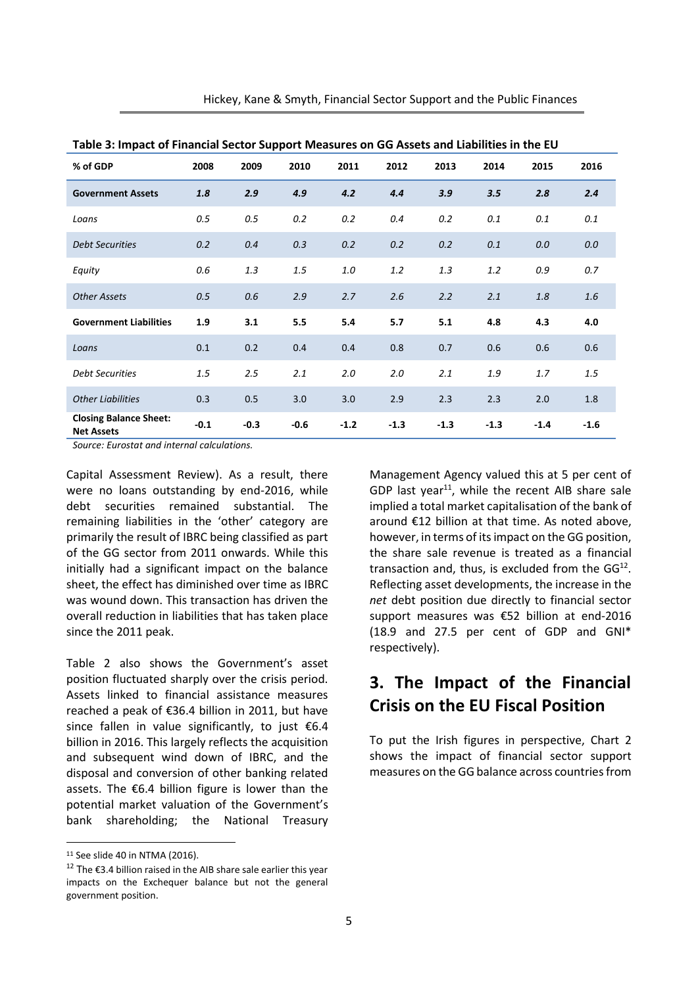| Hickey, Kane & Smyth, Financial Sector Support and the Public Finances |  |  |  |
|------------------------------------------------------------------------|--|--|--|
|------------------------------------------------------------------------|--|--|--|

| Table 5. Hilpact of Financial Sector Support ividasures on GG Assets and Liabilities in the EO |        |        |        |        |        |        |        |        |        |
|------------------------------------------------------------------------------------------------|--------|--------|--------|--------|--------|--------|--------|--------|--------|
| % of GDP                                                                                       | 2008   | 2009   | 2010   | 2011   | 2012   | 2013   | 2014   | 2015   | 2016   |
| <b>Government Assets</b>                                                                       | 1.8    | 2.9    | 4.9    | 4.2    | 4.4    | 3.9    | 3.5    | 2.8    | 2.4    |
| Loans                                                                                          | 0.5    | 0.5    | 0.2    | 0.2    | 0.4    | 0.2    | 0.1    | 0.1    | 0.1    |
| <b>Debt Securities</b>                                                                         | 0.2    | 0.4    | 0.3    | 0.2    | 0.2    | 0.2    | 0.1    | 0.0    | 0.0    |
| Equity                                                                                         | 0.6    | 1.3    | 1.5    | 1.0    | 1.2    | 1.3    | 1.2    | 0.9    | 0.7    |
| <b>Other Assets</b>                                                                            | 0.5    | 0.6    | 2.9    | 2.7    | 2.6    | 2.2    | 2.1    | 1.8    | 1.6    |
| <b>Government Liabilities</b>                                                                  | 1.9    | 3.1    | 5.5    | 5.4    | 5.7    | 5.1    | 4.8    | 4.3    | 4.0    |
| Loans                                                                                          | 0.1    | 0.2    | 0.4    | 0.4    | 0.8    | 0.7    | 0.6    | 0.6    | 0.6    |
| <b>Debt Securities</b>                                                                         | 1.5    | 2.5    | 2.1    | 2.0    | 2.0    | 2.1    | 1.9    | 1.7    | 1.5    |
| <b>Other Liabilities</b>                                                                       | 0.3    | 0.5    | 3.0    | 3.0    | 2.9    | 2.3    | 2.3    | 2.0    | 1.8    |
| <b>Closing Balance Sheet:</b><br><b>Net Assets</b>                                             | $-0.1$ | $-0.3$ | $-0.6$ | $-1.2$ | $-1.3$ | $-1.3$ | $-1.3$ | $-1.4$ | $-1.6$ |

**Table 3: Impact of Financial Sector Support Measures on GG Assets and Liabilities in the EU**

*Source: Eurostat and internal calculations.*

Capital Assessment Review). As a result, there were no loans outstanding by end-2016, while debt securities remained substantial. The remaining liabilities in the 'other' category are primarily the result of IBRC being classified as part of the GG sector from 2011 onwards. While this initially had a significant impact on the balance sheet, the effect has diminished over time as IBRC was wound down. This transaction has driven the overall reduction in liabilities that has taken place since the 2011 peak.

Table 2 also shows the Government's asset position fluctuated sharply over the crisis period. Assets linked to financial assistance measures reached a peak of €36.4 billion in 2011, but have since fallen in value significantly, to just €6.4 billion in 2016. This largely reflects the acquisition and subsequent wind down of IBRC, and the disposal and conversion of other banking related assets. The €6.4 billion figure is lower than the potential market valuation of the Government's bank shareholding; the National Treasury

**.** 

Management Agency valued this at 5 per cent of GDP last year $^{11}$ , while the recent AIB share sale implied a total market capitalisation of the bank of around €12 billion at that time. As noted above, however, in terms of its impact on the GG position, the share sale revenue is treated as a financial transaction and, thus, is excluded from the  $GG^{12}$ . Reflecting asset developments, the increase in the *net* debt position due directly to financial sector support measures was €52 billion at end-2016 (18.9 and 27.5 per cent of GDP and GNI\* respectively).

## **3. The Impact of the Financial Crisis on the EU Fiscal Position**

To put the Irish figures in perspective, Chart 2 shows the impact of financial sector support measures on the GG balance across countries from

 $11$  See slide 40 in NTMA (2016).

<sup>&</sup>lt;sup>12</sup> The €3.4 billion raised in the AIB share sale earlier this year impacts on the Exchequer balance but not the general government position.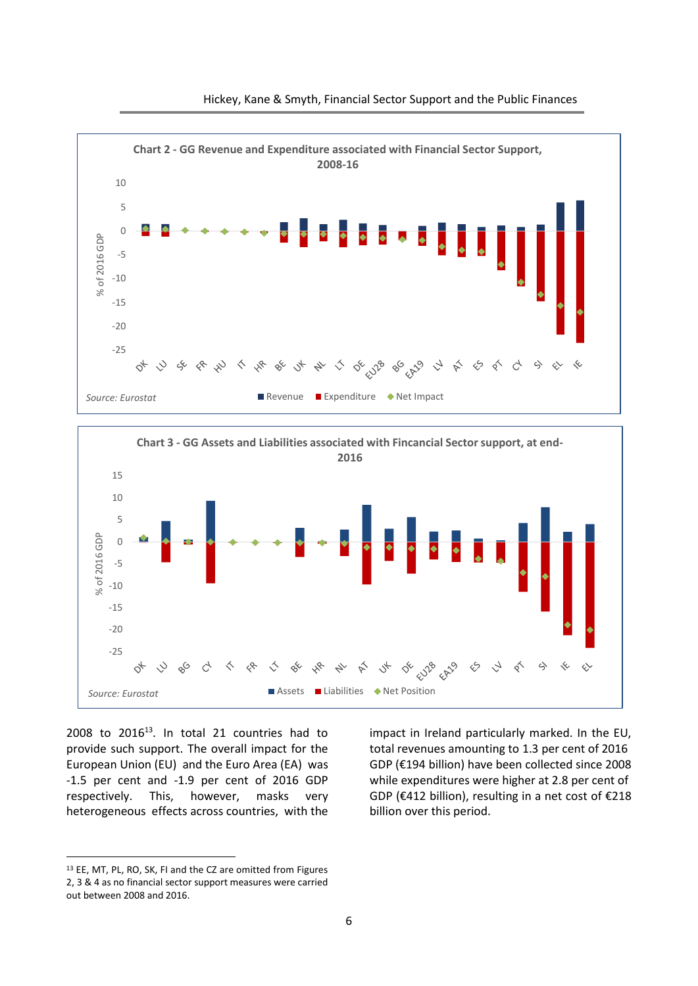





 $2008$  to  $2016^{13}$ . In total 21 countries had to provide such support. The overall impact for the European Union (EU) and the Euro Area (EA) was -1.5 per cent and -1.9 per cent of 2016 GDP respectively. This, however, masks very heterogeneous effects across countries, with the

impact in Ireland particularly marked. In the EU, total revenues amounting to 1.3 per cent of 2016 GDP (€194 billion) have been collected since 2008 while expenditures were higher at 2.8 per cent of GDP (€412 billion), resulting in a net cost of €218 billion over this period.

**.** 

<sup>13</sup> EE, MT, PL, RO, SK, FI and the CZ are omitted from Figures 2, 3 & 4 as no financial sector support measures were carried out between 2008 and 2016.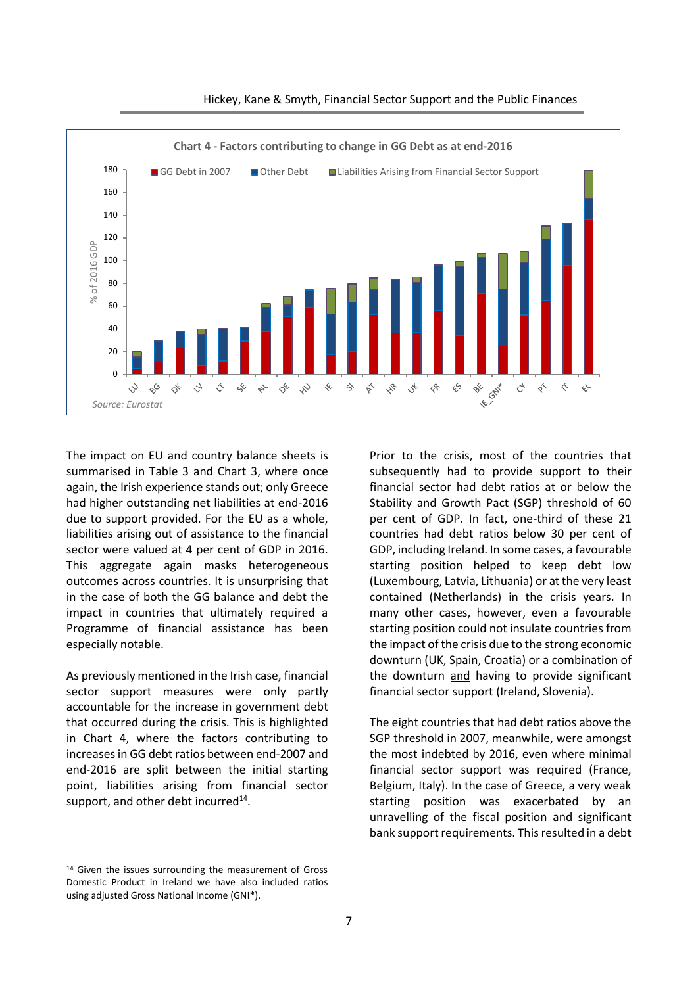

#### Hickey, Kane & Smyth, Financial Sector Support and the Public Finances

The impact on EU and country balance sheets is summarised in Table 3 and Chart 3, where once again, the Irish experience stands out; only Greece had higher outstanding net liabilities at end-2016 due to support provided. For the EU as a whole, liabilities arising out of assistance to the financial sector were valued at 4 per cent of GDP in 2016. This aggregate again masks heterogeneous outcomes across countries. It is unsurprising that in the case of both the GG balance and debt the impact in countries that ultimately required a Programme of financial assistance has been especially notable.

As previously mentioned in the Irish case, financial sector support measures were only partly accountable for the increase in government debt that occurred during the crisis. This is highlighted in Chart 4, where the factors contributing to increases in GG debt ratios between end-2007 and end-2016 are split between the initial starting point, liabilities arising from financial sector support, and other debt incurred $^{14}$ .

Prior to the crisis, most of the countries that subsequently had to provide support to their financial sector had debt ratios at or below the Stability and Growth Pact (SGP) threshold of 60 per cent of GDP. In fact, one-third of these 21 countries had debt ratios below 30 per cent of GDP, including Ireland. In some cases, a favourable starting position helped to keep debt low (Luxembourg, Latvia, Lithuania) or at the very least contained (Netherlands) in the crisis years. In many other cases, however, even a favourable starting position could not insulate countries from the impact of the crisis due to the strong economic downturn (UK, Spain, Croatia) or a combination of the downturn and having to provide significant financial sector support (Ireland, Slovenia).

The eight countries that had debt ratios above the SGP threshold in 2007, meanwhile, were amongst the most indebted by 2016, even where minimal financial sector support was required (France, Belgium, Italy). In the case of Greece, a very weak starting position was exacerbated by an unravelling of the fiscal position and significant bank support requirements. Thisresulted in a debt

**.** 

<sup>14</sup> Given the issues surrounding the measurement of Gross Domestic Product in Ireland we have also included ratios using adjusted Gross National Income (GNI\*).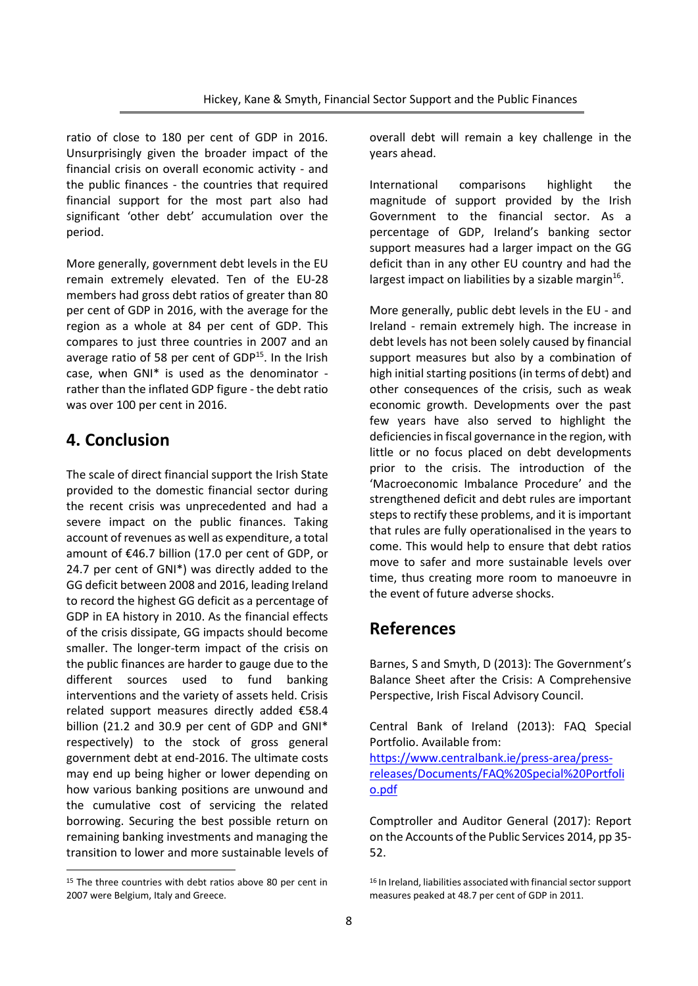ratio of close to 180 per cent of GDP in 2016. Unsurprisingly given the broader impact of the financial crisis on overall economic activity - and the public finances - the countries that required financial support for the most part also had significant 'other debt' accumulation over the period.

More generally, government debt levels in the EU remain extremely elevated. Ten of the EU-28 members had gross debt ratios of greater than 80 per cent of GDP in 2016, with the average for the region as a whole at 84 per cent of GDP. This compares to just three countries in 2007 and an average ratio of 58 per cent of GDP<sup>15</sup>. In the Irish case, when GNI\* is used as the denominator rather than the inflated GDP figure - the debt ratio was over 100 per cent in 2016.

### **4. Conclusion**

The scale of direct financial support the Irish State provided to the domestic financial sector during the recent crisis was unprecedented and had a severe impact on the public finances. Taking account of revenues as well as expenditure, a total amount of €46.7 billion (17.0 per cent of GDP, or 24.7 per cent of GNI\*) was directly added to the GG deficit between 2008 and 2016, leading Ireland to record the highest GG deficit as a percentage of GDP in EA history in 2010. As the financial effects of the crisis dissipate, GG impacts should become smaller. The longer-term impact of the crisis on the public finances are harder to gauge due to the different sources used to fund banking interventions and the variety of assets held. Crisis related support measures directly added €58.4 billion (21.2 and 30.9 per cent of GDP and GNI\* respectively) to the stock of gross general government debt at end-2016. The ultimate costs may end up being higher or lower depending on how various banking positions are unwound and the cumulative cost of servicing the related borrowing. Securing the best possible return on remaining banking investments and managing the transition to lower and more sustainable levels of

1

overall debt will remain a key challenge in the years ahead.

International comparisons highlight the magnitude of support provided by the Irish Government to the financial sector. As a percentage of GDP, Ireland's banking sector support measures had a larger impact on the GG deficit than in any other EU country and had the largest impact on liabilities by a sizable margin<sup>16</sup>.

More generally, public debt levels in the EU - and Ireland - remain extremely high. The increase in debt levels has not been solely caused by financial support measures but also by a combination of high initial starting positions (in terms of debt) and other consequences of the crisis, such as weak economic growth. Developments over the past few years have also served to highlight the deficiencies in fiscal governance in the region, with little or no focus placed on debt developments prior to the crisis. The introduction of the 'Macroeconomic Imbalance Procedure' and the strengthened deficit and debt rules are important steps to rectify these problems, and it is important that rules are fully operationalised in the years to come. This would help to ensure that debt ratios move to safer and more sustainable levels over time, thus creating more room to manoeuvre in the event of future adverse shocks.

## **References**

Barnes, S and Smyth, D (2013): The Government's Balance Sheet after the Crisis: A Comprehensive Perspective, Irish Fiscal Advisory Council.

Central Bank of Ireland (2013): FAQ Special Portfolio. Available from:

[https://www.centralbank.ie/press-area/press](https://www.centralbank.ie/press-area/press-releases/Documents/FAQ%20Special%20Portfolio.pdf)[releases/Documents/FAQ%20Special%20Portfoli](https://www.centralbank.ie/press-area/press-releases/Documents/FAQ%20Special%20Portfolio.pdf) [o.pdf](https://www.centralbank.ie/press-area/press-releases/Documents/FAQ%20Special%20Portfolio.pdf)

Comptroller and Auditor General (2017): Report on the Accounts of the Public Services 2014, pp 35- 52.

<sup>&</sup>lt;sup>15</sup> The three countries with debt ratios above 80 per cent in 2007 were Belgium, Italy and Greece.

<sup>16</sup> In Ireland, liabilities associated with financial sector support measures peaked at 48.7 per cent of GDP in 2011.